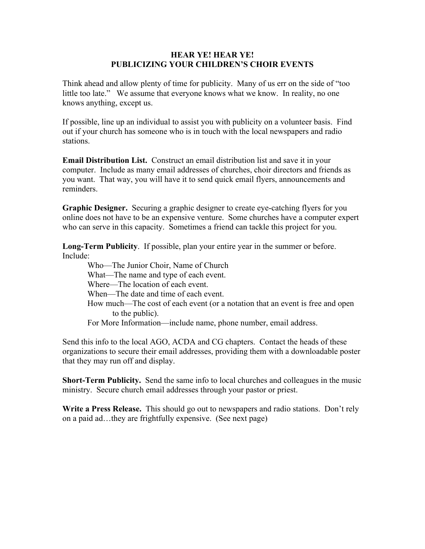## **HEAR YE! HEAR YE! PUBLICIZING YOUR CHILDREN'S CHOIR EVENTS**

Think ahead and allow plenty of time for publicity. Many of us err on the side of "too little too late." We assume that everyone knows what we know. In reality, no one knows anything, except us.

If possible, line up an individual to assist you with publicity on a volunteer basis. Find out if your church has someone who is in touch with the local newspapers and radio stations.

**Email Distribution List.** Construct an email distribution list and save it in your computer. Include as many email addresses of churches, choir directors and friends as you want. That way, you will have it to send quick email flyers, announcements and reminders.

**Graphic Designer.** Securing a graphic designer to create eye-catching flyers for you online does not have to be an expensive venture. Some churches have a computer expert who can serve in this capacity. Sometimes a friend can tackle this project for you.

**Long-Term Publicity**. If possible, plan your entire year in the summer or before. Include:

Who—The Junior Choir, Name of Church What—The name and type of each event. Where—The location of each event. When—The date and time of each event. How much—The cost of each event (or a notation that an event is free and open to the public). For More Information—include name, phone number, email address.

Send this info to the local AGO, ACDA and CG chapters. Contact the heads of these organizations to secure their email addresses, providing them with a downloadable poster that they may run off and display.

**Short-Term Publicity.** Send the same info to local churches and colleagues in the music ministry. Secure church email addresses through your pastor or priest.

**Write a Press Release.** This should go out to newspapers and radio stations. Don't rely on a paid ad…they are frightfully expensive. (See next page)